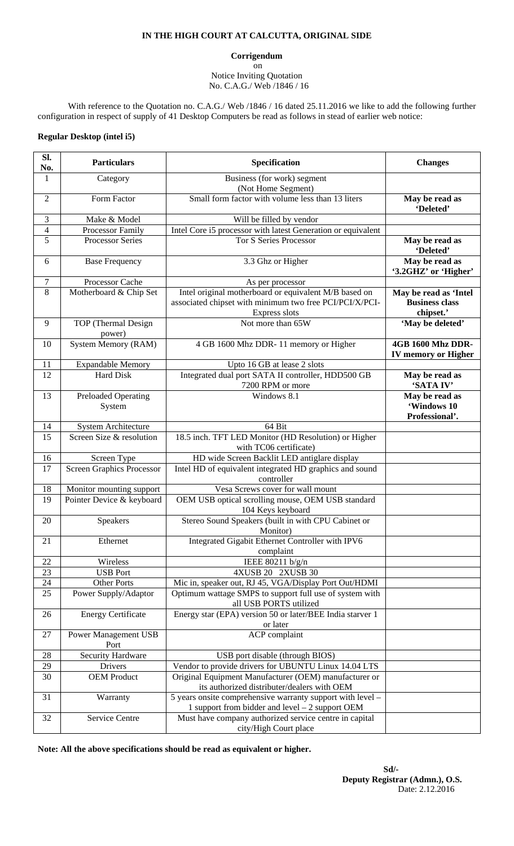## **IN THE HIGH COURT AT CALCUTTA, ORIGINAL SIDE**

**Corrigendum** 

 on Notice Inviting Quotation No. C.A.G./ Web /1846 / 16

With reference to the Quotation no. C.A.G./ Web /1846 / 16 dated 25.11.2016 we like to add the following further configuration in respect of supply of 41 Desktop Computers be read as follows in stead of earlier web notice:

## **Regular Desktop (intel i5)**

| SI.<br>No.     | <b>Particulars</b>                   | Specification                                                                                                                     | <b>Changes</b>                                              |
|----------------|--------------------------------------|-----------------------------------------------------------------------------------------------------------------------------------|-------------------------------------------------------------|
| $\mathbf{1}$   | Category                             | Business (for work) segment<br>(Not Home Segment)                                                                                 |                                                             |
| $\overline{2}$ | Form Factor                          | Small form factor with volume less than 13 liters                                                                                 | May be read as<br>'Deleted'                                 |
| 3              | Make & Model                         | Will be filled by vendor                                                                                                          |                                                             |
| 4              | Processor Family                     | Intel Core i5 processor with latest Generation or equivalent                                                                      |                                                             |
| 5              | <b>Processor Series</b>              | <b>Tor S Series Processor</b>                                                                                                     | May be read as<br>'Deleted'                                 |
| 6              | <b>Base Frequency</b>                | 3.3 Ghz or Higher                                                                                                                 | May be read as<br>'3.2GHZ' or 'Higher'                      |
| $\tau$         | Processor Cache                      | As per processor                                                                                                                  |                                                             |
| 8              | Motherboard & Chip Set               | Intel original motherboard or equivalent M/B based on<br>associated chipset with minimum two free PCI/PCI/X/PCI-<br>Express slots | May be read as 'Intel<br><b>Business class</b><br>chipset.' |
| 9              | TOP (Thermal Design<br>power)        | Not more than 65W                                                                                                                 | 'May be deleted'                                            |
| 10             | <b>System Memory (RAM)</b>           | 4 GB 1600 Mhz DDR-11 memory or Higher                                                                                             | 4GB 1600 Mhz DDR-<br><b>IV memory or Higher</b>             |
| 11             | <b>Expandable Memory</b>             | Upto 16 GB at lease 2 slots                                                                                                       |                                                             |
| 12             | <b>Hard Disk</b>                     | Integrated dual port SATA II controller, HDD500 GB<br>7200 RPM or more                                                            | May be read as<br>'SATA IV'                                 |
| 13             | <b>Preloaded Operating</b><br>System | Windows 8.1                                                                                                                       | May be read as<br>'Windows 10<br>Professional'.             |
| 14             | <b>System Architecture</b>           | 64 Bit                                                                                                                            |                                                             |
| 15             | Screen Size & resolution             | 18.5 inch. TFT LED Monitor (HD Resolution) or Higher<br>with TC06 certificate)                                                    |                                                             |
| 16             | Screen Type                          | HD wide Screen Backlit LED antiglare display                                                                                      |                                                             |
| 17             | <b>Screen Graphics Processor</b>     | Intel HD of equivalent integrated HD graphics and sound<br>controller                                                             |                                                             |
| 18             | Monitor mounting support             | Vesa Screws cover for wall mount                                                                                                  |                                                             |
| 19             | Pointer Device & keyboard            | OEM USB optical scrolling mouse, OEM USB standard<br>104 Keys keyboard                                                            |                                                             |
| 20             | Speakers                             | Stereo Sound Speakers (built in with CPU Cabinet or<br>Monitor)                                                                   |                                                             |
| 21             | Ethernet                             | Integrated Gigabit Ethernet Controller with IPV6<br>complaint                                                                     |                                                             |
| 22             | Wireless                             | IEEE 80211 b/g/n                                                                                                                  |                                                             |
| 23             | <b>USB Port</b>                      | 4XUSB 20 2XUSB 30                                                                                                                 |                                                             |
| 24             | Other Ports                          | Mic in, speaker out, RJ 45, VGA/Display Port Out/HDMI                                                                             |                                                             |
| 25             | Power Supply/Adaptor                 | Optimum wattage SMPS to support full use of system with<br>all USB PORTS utilized                                                 |                                                             |
| 26             | <b>Energy Certificate</b>            | Energy star (EPA) version 50 or later/BEE India starver 1<br>or later                                                             |                                                             |
| 27             | <b>Power Management USB</b><br>Port  | <b>ACP</b> complaint                                                                                                              |                                                             |
| 28             | <b>Security Hardware</b>             | USB port disable (through BIOS)                                                                                                   |                                                             |
| 29             | Drivers                              | Vendor to provide drivers for UBUNTU Linux 14.04 LTS                                                                              |                                                             |
| 30             | <b>OEM Product</b>                   | Original Equipment Manufacturer (OEM) manufacturer or<br>its authorized distributer/dealers with OEM                              |                                                             |
| 31             | Warranty                             | 5 years onsite comprehensive warranty support with level –<br>1 support from bidder and level – 2 support OEM                     |                                                             |
| 32             | Service Centre                       | Must have company authorized service centre in capital<br>city/High Court place                                                   |                                                             |

**Note: All the above specifications should be read as equivalent or higher.**